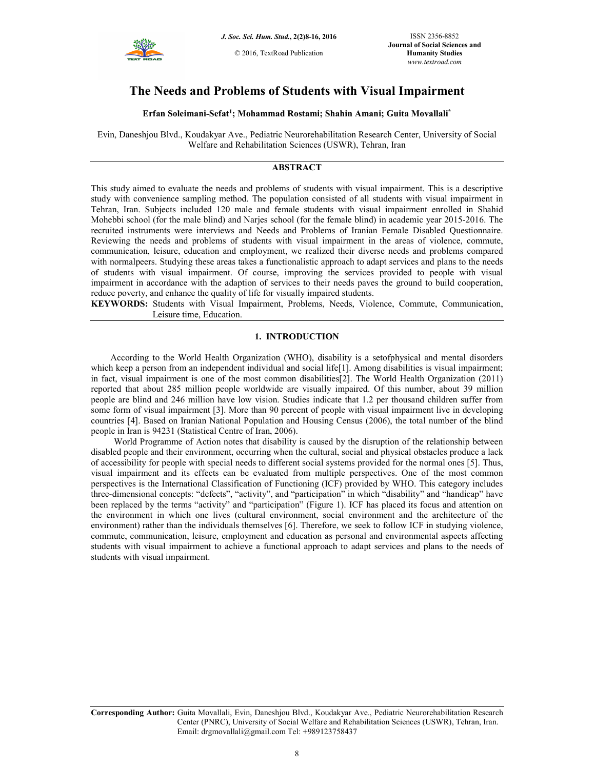

# **The Needs and Problems of Students with Visual Impairment**

**Erfan Soleimani-Sefat<sup>1</sup> ; Mohammad Rostami; Shahin Amani; Guita Movallali\***

Evin, Daneshjou Blvd., Koudakyar Ave., Pediatric Neurorehabilitation Research Center, University of Social Welfare and Rehabilitation Sciences (USWR), Tehran, Iran

## **ABSTRACT**

This study aimed to evaluate the needs and problems of students with visual impairment. This is a descriptive study with convenience sampling method. The population consisted of all students with visual impairment in Tehran, Iran. Subjects included 120 male and female students with visual impairment enrolled in Shahid Mohebbi school (for the male blind) and Narjes school (for the female blind) in academic year 2015-2016. The recruited instruments were interviews and Needs and Problems of Iranian Female Disabled Questionnaire. Reviewing the needs and problems of students with visual impairment in the areas of violence, commute, communication, leisure, education and employment, we realized their diverse needs and problems compared with normalpeers. Studying these areas takes a functionalistic approach to adapt services and plans to the needs of students with visual impairment. Of course, improving the services provided to people with visual impairment in accordance with the adaption of services to their needs paves the ground to build cooperation, reduce poverty, and enhance the quality of life for visually impaired students.

**KEYWORDS:** Students with Visual Impairment, Problems, Needs, Violence, Commute, Communication, Leisure time, Education.

## **1. INTRODUCTION**

According to the World Health Organization (WHO), disability is a setofphysical and mental disorders which keep a person from an independent individual and social life[1]. Among disabilities is visual impairment; in fact, visual impairment is one of the most common disabilities[2]. The World Health Organization (2011) reported that about 285 million people worldwide are visually impaired. Of this number, about 39 million people are blind and 246 million have low vision. Studies indicate that 1.2 per thousand children suffer from some form of visual impairment [3]. More than 90 percent of people with visual impairment live in developing countries [4]. Based on Iranian National Population and Housing Census (2006), the total number of the blind people in Iran is 94231 (Statistical Centre of Iran, 2006).

 World Programme of Action notes that disability is caused by the disruption of the relationship between disabled people and their environment, occurring when the cultural, social and physical obstacles produce a lack of accessibility for people with special needs to different social systems provided for the normal ones [5]. Thus, visual impairment and its effects can be evaluated from multiple perspectives. One of the most common perspectives is the International Classification of Functioning (ICF) provided by WHO. This category includes three-dimensional concepts: "defects", "activity", and "participation" in which "disability" and "handicap" have been replaced by the terms "activity" and "participation" (Figure 1). ICF has placed its focus and attention on the environment in which one lives (cultural environment, social environment and the architecture of the environment) rather than the individuals themselves [6]. Therefore, we seek to follow ICF in studying violence, commute, communication, leisure, employment and education as personal and environmental aspects affecting students with visual impairment to achieve a functional approach to adapt services and plans to the needs of students with visual impairment.

**Corresponding Author:** Guita Movallali, Evin, Daneshjou Blvd., Koudakyar Ave., Pediatric Neurorehabilitation Research Center (PNRC), University of Social Welfare and Rehabilitation Sciences (USWR), Tehran, Iran. Email: drgmovallali@gmail.com Tel: +989123758437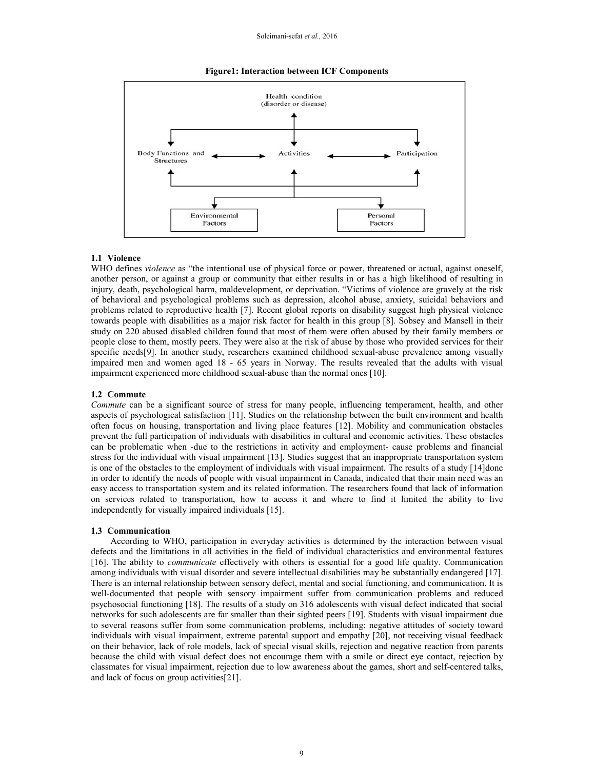#### **Figure1: Interaction between ICF Components**



#### **1.1 Violence**

WHO defines *violence* as "the intentional use of physical force or power, threatened or actual, against oneself, another person, or against a group or community that either results in or has a high likelihood of resulting in injury, death, psychological harm, maldevelopment, or deprivation. "Victims of violence are gravely at the risk of behavioral and psychological problems such as depression, alcohol abuse, anxiety, suicidal behaviors and problems related to reproductive health [7]. Recent global reports on disability suggest high physical violence towards people with disabilities as a major risk factor for health in this group [8]. Sobsey and Mansell in their study on 220 abused disabled children found that most of them were often abused by their family members or people close to them, mostly peers. They were also at the risk of abuse by those who provided services for their specific needs[9]. In another study, researchers examined childhood sexual-abuse prevalence among visually impaired men and women aged 18 - 65 years in Norway. The results revealed that the adults with visual impairment experienced more childhood sexual-abuse than the normal ones [10].

#### **1.2 Commute**

*Commute* can be a significant source of stress for many people, influencing temperament, health, and other aspects of psychological satisfaction [11]. Studies on the relationship between the built environment and health often focus on housing, transportation and living place features [12]. Mobility and communication obstacles prevent the full participation of individuals with disabilities in cultural and economic activities. These obstacles can be problematic when -due to the restrictions in activity and employment- cause problems and financial stress for the individual with visual impairment [13]. Studies suggest that an inappropriate transportation system is one of the obstacles to the employment of individuals with visual impairment. The results of a study [14]done in order to identify the needs of people with visual impairment in Canada, indicated that their main need was an easy access to transportation system and its related information. The researchers found that lack of information on services related to transportation, how to access it and where to find it limited the ability to live independently for visually impaired individuals [15].

#### **1.3 Communication**

According to WHO, participation in everyday activities is determined by the interaction between visual defects and the limitations in all activities in the field of individual characteristics and environmental features [16]. The ability to *communicate* effectively with others is essential for a good life quality. Communication among individuals with visual disorder and severe intellectual disabilities may be substantially endangered [17]. There is an internal relationship between sensory defect, mental and social functioning, and communication. It is well-documented that people with sensory impairment suffer from communication problems and reduced psychosocial functioning [18]. The results of a study on 316 adolescents with visual defect indicated that social networks for such adolescents are far smaller than their sighted peers [19]. Students with visual impairment due to several reasons suffer from some communication problems, including: negative attitudes of society toward individuals with visual impairment, extreme parental support and empathy [20], not receiving visual feedback on their behavior, lack of role models, lack of special visual skills, rejection and negative reaction from parents because the child with visual defect does not encourage them with a smile or direct eye contact, rejection by classmates for visual impairment, rejection due to low awareness about the games, short and self-centered talks, and lack of focus on group activities[21].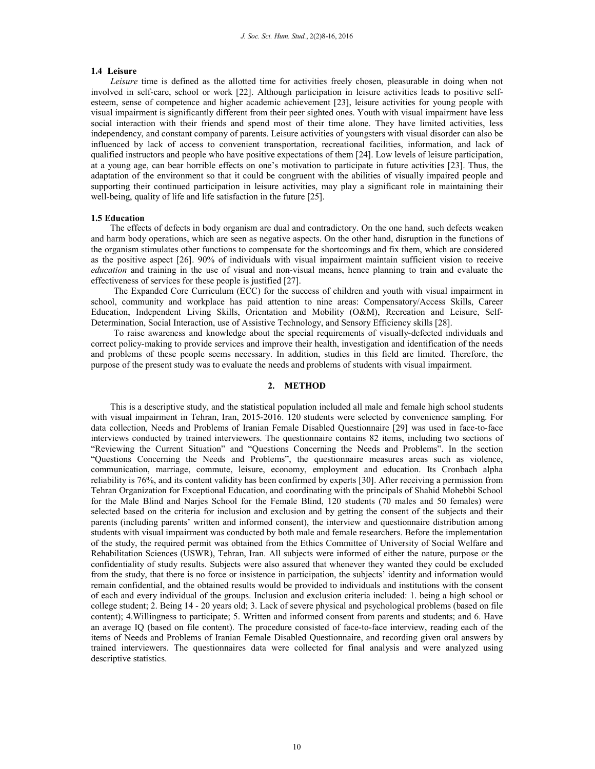#### **1.4 Leisure**

*Leisure* time is defined as the allotted time for activities freely chosen, pleasurable in doing when not involved in self-care, school or work [22]. Although participation in leisure activities leads to positive selfesteem, sense of competence and higher academic achievement [23], leisure activities for young people with visual impairment is significantly different from their peer sighted ones. Youth with visual impairment have less social interaction with their friends and spend most of their time alone. They have limited activities, less independency, and constant company of parents. Leisure activities of youngsters with visual disorder can also be influenced by lack of access to convenient transportation, recreational facilities, information, and lack of qualified instructors and people who have positive expectations of them [24]. Low levels of leisure participation, at a young age, can bear horrible effects on one's motivation to participate in future activities [23]. Thus, the adaptation of the environment so that it could be congruent with the abilities of visually impaired people and supporting their continued participation in leisure activities, may play a significant role in maintaining their well-being, quality of life and life satisfaction in the future [25].

#### **1.5 Education**

The effects of defects in body organism are dual and contradictory. On the one hand, such defects weaken and harm body operations, which are seen as negative aspects. On the other hand, disruption in the functions of the organism stimulates other functions to compensate for the shortcomings and fix them, which are considered as the positive aspect [26]. 90% of individuals with visual impairment maintain sufficient vision to receive *education* and training in the use of visual and non-visual means, hence planning to train and evaluate the effectiveness of services for these people is justified [27].

 The Expanded Core Curriculum (ECC) for the success of children and youth with visual impairment in school, community and workplace has paid attention to nine areas: Compensatory/Access Skills, Career Education, Independent Living Skills, Orientation and Mobility (O&M), Recreation and Leisure, Self-Determination, Social Interaction, use of Assistive Technology, and Sensory Efficiency skills [28].

 To raise awareness and knowledge about the special requirements of visually-defected individuals and correct policy-making to provide services and improve their health, investigation and identification of the needs and problems of these people seems necessary. In addition, studies in this field are limited. Therefore, the purpose of the present study was to evaluate the needs and problems of students with visual impairment.

## **2. METHOD**

This is a descriptive study, and the statistical population included all male and female high school students with visual impairment in Tehran, Iran, 2015-2016. 120 students were selected by convenience sampling. For data collection, Needs and Problems of Iranian Female Disabled Questionnaire [29] was used in face-to-face interviews conducted by trained interviewers. The questionnaire contains 82 items, including two sections of "Reviewing the Current Situation" and "Questions Concerning the Needs and Problems". In the section "Questions Concerning the Needs and Problems", the questionnaire measures areas such as violence, communication, marriage, commute, leisure, economy, employment and education. Its Cronbach alpha reliability is 76%, and its content validity has been confirmed by experts [30]. After receiving a permission from Tehran Organization for Exceptional Education, and coordinating with the principals of Shahid Mohebbi School for the Male Blind and Narjes School for the Female Blind, 120 students (70 males and 50 females) were selected based on the criteria for inclusion and exclusion and by getting the consent of the subjects and their parents (including parents' written and informed consent), the interview and questionnaire distribution among students with visual impairment was conducted by both male and female researchers. Before the implementation of the study, the required permit was obtained from the Ethics Committee of University of Social Welfare and Rehabilitation Sciences (USWR), Tehran, Iran. All subjects were informed of either the nature, purpose or the confidentiality of study results. Subjects were also assured that whenever they wanted they could be excluded from the study, that there is no force or insistence in participation, the subjects' identity and information would remain confidential, and the obtained results would be provided to individuals and institutions with the consent of each and every individual of the groups. Inclusion and exclusion criteria included: 1. being a high school or college student; 2. Being 14 - 20 years old; 3. Lack of severe physical and psychological problems (based on file content); 4.Willingness to participate; 5. Written and informed consent from parents and students; and 6. Have an average IQ (based on file content). The procedure consisted of face-to-face interview, reading each of the items of Needs and Problems of Iranian Female Disabled Questionnaire, and recording given oral answers by trained interviewers. The questionnaires data were collected for final analysis and were analyzed using descriptive statistics.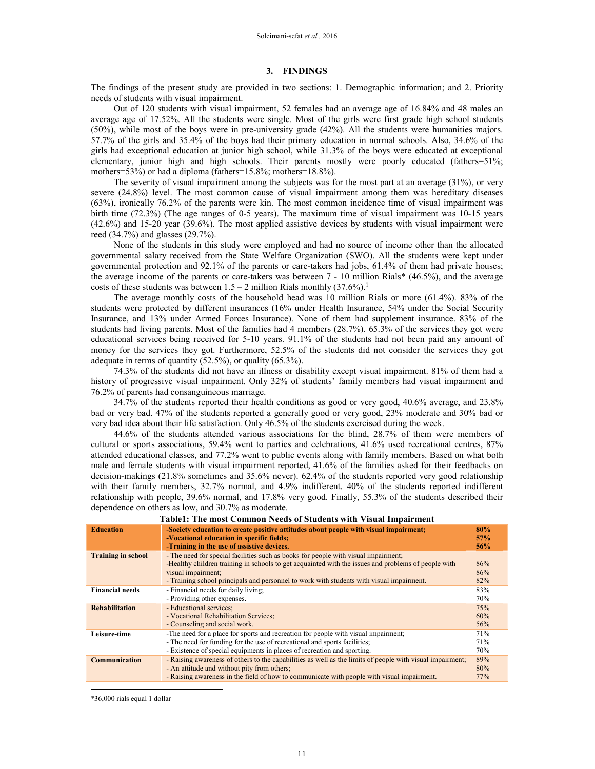#### **3. FINDINGS**

The findings of the present study are provided in two sections: 1. Demographic information; and 2. Priority needs of students with visual impairment.

 Out of 120 students with visual impairment, 52 females had an average age of 16.84% and 48 males an average age of 17.52%. All the students were single. Most of the girls were first grade high school students (50%), while most of the boys were in pre-university grade (42%). All the students were humanities majors. 57.7% of the girls and 35.4% of the boys had their primary education in normal schools. Also, 34.6% of the girls had exceptional education at junior high school, while 31.3% of the boys were educated at exceptional elementary, junior high and high schools. Their parents mostly were poorly educated (fathers=51%; mothers=53%) or had a diploma (fathers=15.8%; mothers=18.8%).

 The severity of visual impairment among the subjects was for the most part at an average (31%), or very severe (24.8%) level. The most common cause of visual impairment among them was hereditary diseases (63%), ironically 76.2% of the parents were kin. The most common incidence time of visual impairment was birth time (72.3%) (The age ranges of 0-5 years). The maximum time of visual impairment was 10-15 years (42.6%) and 15-20 year (39.6%). The most applied assistive devices by students with visual impairment were reed (34.7%) and glasses (29.7%).

 None of the students in this study were employed and had no source of income other than the allocated governmental salary received from the State Welfare Organization (SWO). All the students were kept under governmental protection and 92.1% of the parents or care-takers had jobs, 61.4% of them had private houses; the average income of the parents or care-takers was between 7 - 10 million Rials\* (46.5%), and the average costs of these students was between  $1.5 - 2$  million Rials monthly (37.6%).<sup>1</sup>

 The average monthly costs of the household head was 10 million Rials or more (61.4%). 83% of the students were protected by different insurances (16% under Health Insurance, 54% under the Social Security Insurance, and 13% under Armed Forces Insurance). None of them had supplement insurance. 83% of the students had living parents. Most of the families had 4 members (28.7%). 65.3% of the services they got were educational services being received for 5-10 years. 91.1% of the students had not been paid any amount of money for the services they got. Furthermore, 52.5% of the students did not consider the services they got adequate in terms of quantity (52.5%), or quality (65.3%).

 74.3% of the students did not have an illness or disability except visual impairment. 81% of them had a history of progressive visual impairment. Only 32% of students' family members had visual impairment and 76.2% of parents had consanguineous marriage.

 34.7% of the students reported their health conditions as good or very good, 40.6% average, and 23.8% bad or very bad. 47% of the students reported a generally good or very good, 23% moderate and 30% bad or very bad idea about their life satisfaction. Only 46.5% of the students exercised during the week.

 44.6% of the students attended various associations for the blind, 28.7% of them were members of cultural or sports associations, 59.4% went to parties and celebrations, 41.6% used recreational centres, 87% attended educational classes, and 77.2% went to public events along with family members. Based on what both male and female students with visual impairment reported, 41.6% of the families asked for their feedbacks on decision-makings (21.8% sometimes and 35.6% never). 62.4% of the students reported very good relationship with their family members, 32.7% normal, and 4.9% indifferent. 40% of the students reported indifferent relationship with people, 39.6% normal, and 17.8% very good. Finally, 55.3% of the students described their dependence on others as low, and 30.7% as moderate.

| <b>Education</b>          | -Society education to create positive attitudes about people with visual impairment;<br>-Vocational education in specific fields;<br>-Training in the use of assistive devices.                                                                                                                             | 80%<br>57%<br>56% |
|---------------------------|-------------------------------------------------------------------------------------------------------------------------------------------------------------------------------------------------------------------------------------------------------------------------------------------------------------|-------------------|
| <b>Training in school</b> | - The need for special facilities such as books for people with visual impairment;<br>-Healthy children training in schools to get acquainted with the issues and problems of people with<br>visual impairment;<br>- Training school principals and personnel to work with students with visual impairment. | 86%<br>86%<br>82% |
| <b>Financial needs</b>    | - Financial needs for daily living:<br>- Providing other expenses.                                                                                                                                                                                                                                          | 83%<br>70%        |
| <b>Rehabilitation</b>     | - Educational services;<br>- Vocational Rehabilitation Services;<br>- Counseling and social work.                                                                                                                                                                                                           | 75%<br>60%<br>56% |
| Leisure-time              | -The need for a place for sports and recreation for people with visual impairment;<br>- The need for funding for the use of recreational and sports facilities;<br>- Existence of special equipments in places of recreation and sporting.                                                                  | 71%<br>71%<br>70% |
| Communication             | - Raising awareness of others to the capabilities as well as the limits of people with visual impairment;<br>- An attitude and without pity from others;<br>- Raising awareness in the field of how to communicate with people with visual impairment.                                                      | 89%<br>80%<br>77% |
|                           |                                                                                                                                                                                                                                                                                                             |                   |

**Table1: The most Common Needs of Students with Visual Impairment** 

\*36,000 rials equal 1 dollar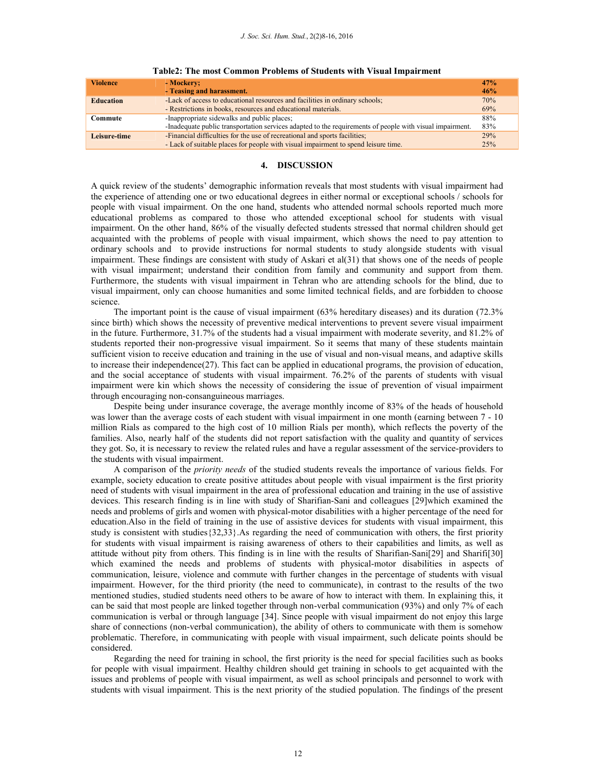| <b>Violence</b>  | - Mockery;                                                                                               | 47% |
|------------------|----------------------------------------------------------------------------------------------------------|-----|
|                  | - Teasing and harassment.                                                                                | 46% |
| <b>Education</b> | -Lack of access to educational resources and facilities in ordinary schools;                             | 70% |
|                  | - Restrictions in books, resources and educational materials.                                            | 69% |
| Commute          | -Inappropriate sidewalks and public places;                                                              | 88% |
|                  | -Inadequate public transportation services adapted to the requirements of people with visual impairment. | 83% |
| Leisure-time     | -Financial difficulties for the use of recreational and sports facilities;                               | 29% |
|                  | - Lack of suitable places for people with visual impairment to spend leisure time.                       | 25% |

| Table2: The most Common Problems of Students with Visual Impairment |  |  |  |  |  |  |  |
|---------------------------------------------------------------------|--|--|--|--|--|--|--|
|---------------------------------------------------------------------|--|--|--|--|--|--|--|

## **4. DISCUSSION**

A quick review of the students' demographic information reveals that most students with visual impairment had the experience of attending one or two educational degrees in either normal or exceptional schools / schools for people with visual impairment. On the one hand, students who attended normal schools reported much more educational problems as compared to those who attended exceptional school for students with visual impairment. On the other hand, 86% of the visually defected students stressed that normal children should get acquainted with the problems of people with visual impairment, which shows the need to pay attention to ordinary schools and to provide instructions for normal students to study alongside students with visual impairment. These findings are consistent with study of Askari et al(31) that shows one of the needs of people with visual impairment; understand their condition from family and community and support from them. Furthermore, the students with visual impairment in Tehran who are attending schools for the blind, due to visual impairment, only can choose humanities and some limited technical fields, and are forbidden to choose science.

 The important point is the cause of visual impairment (63% hereditary diseases) and its duration (72.3% since birth) which shows the necessity of preventive medical interventions to prevent severe visual impairment in the future. Furthermore, 31.7% of the students had a visual impairment with moderate severity, and 81.2% of students reported their non-progressive visual impairment. So it seems that many of these students maintain sufficient vision to receive education and training in the use of visual and non-visual means, and adaptive skills to increase their independence(27). This fact can be applied in educational programs, the provision of education, and the social acceptance of students with visual impairment. 76.2% of the parents of students with visual impairment were kin which shows the necessity of considering the issue of prevention of visual impairment through encouraging non-consanguineous marriages.

 Despite being under insurance coverage, the average monthly income of 83% of the heads of household was lower than the average costs of each student with visual impairment in one month (earning between  $7 - 10$ ) million Rials as compared to the high cost of 10 million Rials per month), which reflects the poverty of the families. Also, nearly half of the students did not report satisfaction with the quality and quantity of services they got. So, it is necessary to review the related rules and have a regular assessment of the service-providers to the students with visual impairment.

 A comparison of the *priority needs* of the studied students reveals the importance of various fields. For example, society education to create positive attitudes about people with visual impairment is the first priority need of students with visual impairment in the area of professional education and training in the use of assistive devices. This research finding is in line with study of Sharifian-Sani and colleagues [29]which examined the needs and problems of girls and women with physical-motor disabilities with a higher percentage of the need for education.Also in the field of training in the use of assistive devices for students with visual impairment, this study is consistent with studies{32,33}.As regarding the need of communication with others, the first priority for students with visual impairment is raising awareness of others to their capabilities and limits, as well as attitude without pity from others. This finding is in line with the results of Sharifian-Sani[29] and Sharifi[30] which examined the needs and problems of students with physical-motor disabilities in aspects of communication, leisure, violence and commute with further changes in the percentage of students with visual impairment. However, for the third priority (the need to communicate), in contrast to the results of the two mentioned studies, studied students need others to be aware of how to interact with them. In explaining this, it can be said that most people are linked together through non-verbal communication (93%) and only 7% of each communication is verbal or through language [34]. Since people with visual impairment do not enjoy this large share of connections (non-verbal communication), the ability of others to communicate with them is somehow problematic. Therefore, in communicating with people with visual impairment, such delicate points should be considered.

 Regarding the need for training in school, the first priority is the need for special facilities such as books for people with visual impairment. Healthy children should get training in schools to get acquainted with the issues and problems of people with visual impairment, as well as school principals and personnel to work with students with visual impairment. This is the next priority of the studied population. The findings of the present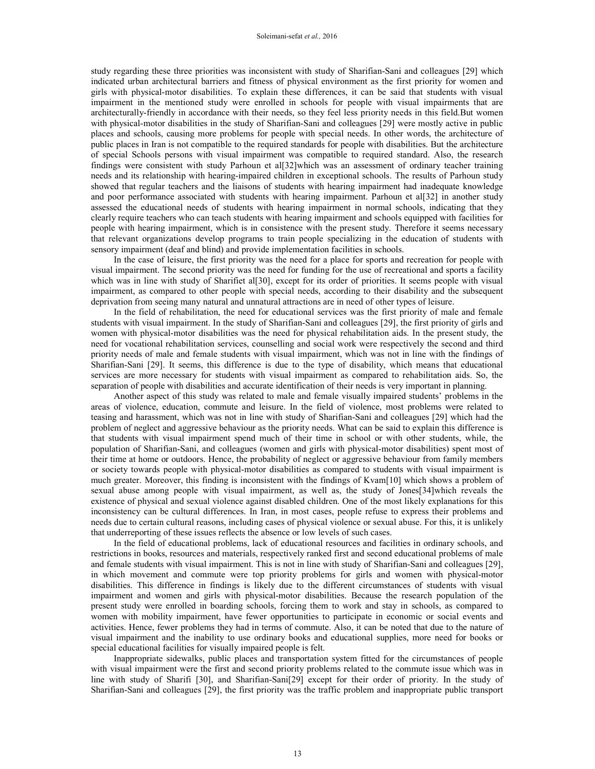study regarding these three priorities was inconsistent with study of Sharifian-Sani and colleagues [29] which indicated urban architectural barriers and fitness of physical environment as the first priority for women and girls with physical-motor disabilities. To explain these differences, it can be said that students with visual impairment in the mentioned study were enrolled in schools for people with visual impairments that are architecturally-friendly in accordance with their needs, so they feel less priority needs in this field.But women with physical-motor disabilities in the study of Sharifian-Sani and colleagues [29] were mostly active in public places and schools, causing more problems for people with special needs. In other words, the architecture of public places in Iran is not compatible to the required standards for people with disabilities. But the architecture of special Schools persons with visual impairment was compatible to required standard. Also, the research findings were consistent with study Parhoun et al[32]which was an assessment of ordinary teacher training needs and its relationship with hearing-impaired children in exceptional schools. The results of Parhoun study showed that regular teachers and the liaisons of students with hearing impairment had inadequate knowledge and poor performance associated with students with hearing impairment. Parhoun et al[32] in another study assessed the educational needs of students with hearing impairment in normal schools, indicating that they clearly require teachers who can teach students with hearing impairment and schools equipped with facilities for people with hearing impairment, which is in consistence with the present study. Therefore it seems necessary that relevant organizations develop programs to train people specializing in the education of students with sensory impairment (deaf and blind) and provide implementation facilities in schools.

 In the case of leisure, the first priority was the need for a place for sports and recreation for people with visual impairment. The second priority was the need for funding for the use of recreational and sports a facility which was in line with study of Sharifiet al[30], except for its order of priorities. It seems people with visual impairment, as compared to other people with special needs, according to their disability and the subsequent deprivation from seeing many natural and unnatural attractions are in need of other types of leisure.

 In the field of rehabilitation, the need for educational services was the first priority of male and female students with visual impairment. In the study of Sharifian-Sani and colleagues [29], the first priority of girls and women with physical-motor disabilities was the need for physical rehabilitation aids. In the present study, the need for vocational rehabilitation services, counselling and social work were respectively the second and third priority needs of male and female students with visual impairment, which was not in line with the findings of Sharifian-Sani [29]. It seems, this difference is due to the type of disability, which means that educational services are more necessary for students with visual impairment as compared to rehabilitation aids. So, the separation of people with disabilities and accurate identification of their needs is very important in planning.

 Another aspect of this study was related to male and female visually impaired students' problems in the areas of violence, education, commute and leisure. In the field of violence, most problems were related to teasing and harassment, which was not in line with study of Sharifian-Sani and colleagues [29] which had the problem of neglect and aggressive behaviour as the priority needs. What can be said to explain this difference is that students with visual impairment spend much of their time in school or with other students, while, the population of Sharifian-Sani, and colleagues (women and girls with physical-motor disabilities) spent most of their time at home or outdoors. Hence, the probability of neglect or aggressive behaviour from family members or society towards people with physical-motor disabilities as compared to students with visual impairment is much greater. Moreover, this finding is inconsistent with the findings of Kvam[10] which shows a problem of sexual abuse among people with visual impairment, as well as, the study of Jones[34]which reveals the existence of physical and sexual violence against disabled children. One of the most likely explanations for this inconsistency can be cultural differences. In Iran, in most cases, people refuse to express their problems and needs due to certain cultural reasons, including cases of physical violence or sexual abuse. For this, it is unlikely that underreporting of these issues reflects the absence or low levels of such cases.

 In the field of educational problems, lack of educational resources and facilities in ordinary schools, and restrictions in books, resources and materials, respectively ranked first and second educational problems of male and female students with visual impairment. This is not in line with study of Sharifian-Sani and colleagues [29], in which movement and commute were top priority problems for girls and women with physical-motor disabilities. This difference in findings is likely due to the different circumstances of students with visual impairment and women and girls with physical-motor disabilities. Because the research population of the present study were enrolled in boarding schools, forcing them to work and stay in schools, as compared to women with mobility impairment, have fewer opportunities to participate in economic or social events and activities. Hence, fewer problems they had in terms of commute. Also, it can be noted that due to the nature of visual impairment and the inability to use ordinary books and educational supplies, more need for books or special educational facilities for visually impaired people is felt.

 Inappropriate sidewalks, public places and transportation system fitted for the circumstances of people with visual impairment were the first and second priority problems related to the commute issue which was in line with study of Sharifi [30], and Sharifian-Sani[29] except for their order of priority. In the study of Sharifian-Sani and colleagues [29], the first priority was the traffic problem and inappropriate public transport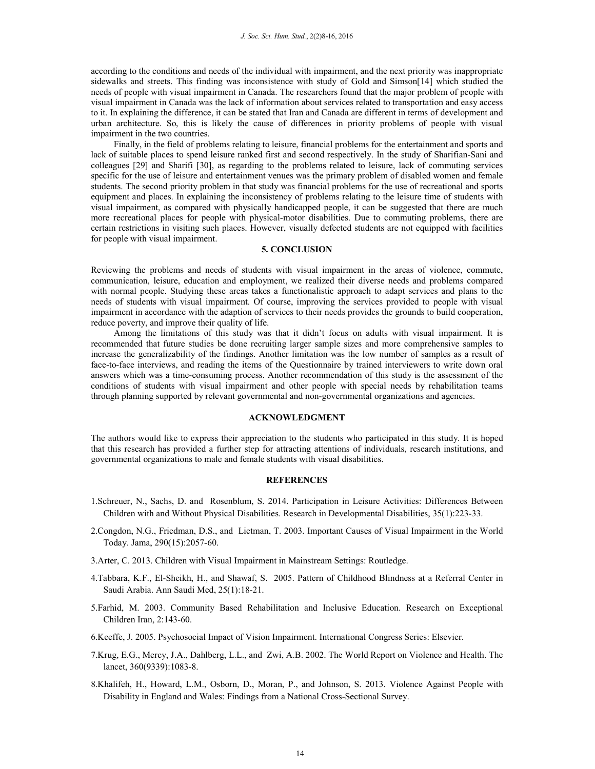according to the conditions and needs of the individual with impairment, and the next priority was inappropriate sidewalks and streets. This finding was inconsistence with study of Gold and Simson[14] which studied the needs of people with visual impairment in Canada. The researchers found that the major problem of people with visual impairment in Canada was the lack of information about services related to transportation and easy access to it. In explaining the difference, it can be stated that Iran and Canada are different in terms of development and urban architecture. So, this is likely the cause of differences in priority problems of people with visual impairment in the two countries.

 Finally, in the field of problems relating to leisure, financial problems for the entertainment and sports and lack of suitable places to spend leisure ranked first and second respectively. In the study of Sharifian-Sani and colleagues [29] and Sharifi [30], as regarding to the problems related to leisure, lack of commuting services specific for the use of leisure and entertainment venues was the primary problem of disabled women and female students. The second priority problem in that study was financial problems for the use of recreational and sports equipment and places. In explaining the inconsistency of problems relating to the leisure time of students with visual impairment, as compared with physically handicapped people, it can be suggested that there are much more recreational places for people with physical-motor disabilities. Due to commuting problems, there are certain restrictions in visiting such places. However, visually defected students are not equipped with facilities for people with visual impairment.

### **5. CONCLUSION**

Reviewing the problems and needs of students with visual impairment in the areas of violence, commute, communication, leisure, education and employment, we realized their diverse needs and problems compared with normal people. Studying these areas takes a functionalistic approach to adapt services and plans to the needs of students with visual impairment. Of course, improving the services provided to people with visual impairment in accordance with the adaption of services to their needs provides the grounds to build cooperation, reduce poverty, and improve their quality of life.

 Among the limitations of this study was that it didn't focus on adults with visual impairment. It is recommended that future studies be done recruiting larger sample sizes and more comprehensive samples to increase the generalizability of the findings. Another limitation was the low number of samples as a result of face-to-face interviews, and reading the items of the Questionnaire by trained interviewers to write down oral answers which was a time-consuming process. Another recommendation of this study is the assessment of the conditions of students with visual impairment and other people with special needs by rehabilitation teams through planning supported by relevant governmental and non-governmental organizations and agencies.

#### **ACKNOWLEDGMENT**

The authors would like to express their appreciation to the students who participated in this study. It is hoped that this research has provided a further step for attracting attentions of individuals, research institutions, and governmental organizations to male and female students with visual disabilities.

## **REFERENCES**

- 1.Schreuer, N., Sachs, D. and Rosenblum, S. 2014. Participation in Leisure Activities: Differences Between Children with and Without Physical Disabilities. Research in Developmental Disabilities, 35(1):223-33.
- 2.Congdon, N.G., Friedman, D.S., and Lietman, T. 2003. Important Causes of Visual Impairment in the World Today. Jama, 290(15):2057-60.
- 3.Arter, C. 2013. Children with Visual Impairment in Mainstream Settings: Routledge.
- 4.Tabbara, K.F., El-Sheikh, H., and Shawaf, S. 2005. Pattern of Childhood Blindness at a Referral Center in Saudi Arabia. Ann Saudi Med, 25(1):18-21.
- 5.Farhid, M. 2003. Community Based Rehabilitation and Inclusive Education. Research on Exceptional Children Iran, 2:143-60.
- 6.Keeffe, J. 2005. Psychosocial Impact of Vision Impairment. International Congress Series: Elsevier.
- 7.Krug, E.G., Mercy, J.A., Dahlberg, L.L., and Zwi, A.B. 2002. The World Report on Violence and Health. The lancet, 360(9339):1083-8.
- 8.Khalifeh, H., Howard, L.M., Osborn, D., Moran, P., and Johnson, S. 2013. Violence Against People with Disability in England and Wales: Findings from a National Cross-Sectional Survey.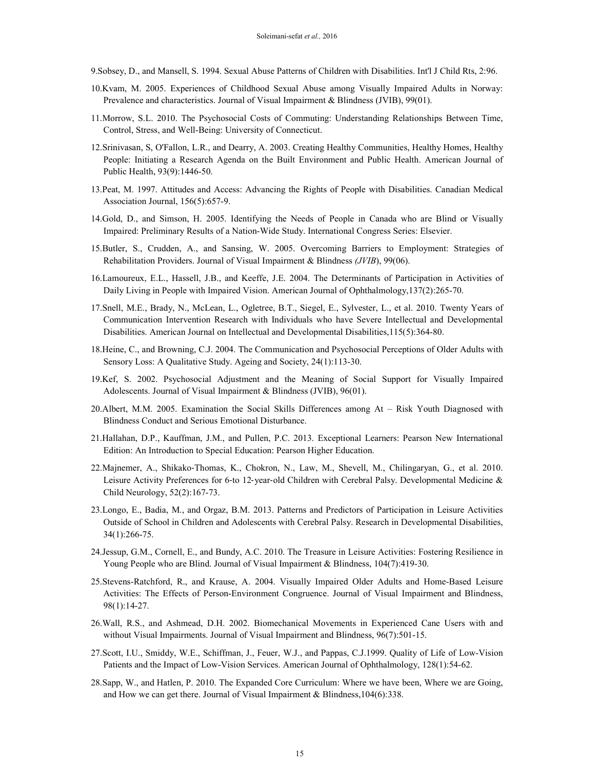- 9.Sobsey, D., and Mansell, S. 1994. Sexual Abuse Patterns of Children with Disabilities. Int'l J Child Rts, 2:96.
- 10.Kvam, M. 2005. Experiences of Childhood Sexual Abuse among Visually Impaired Adults in Norway: Prevalence and characteristics. Journal of Visual Impairment & Blindness (JVIB), 99(01).
- 11.Morrow, S.L. 2010. The Psychosocial Costs of Commuting: Understanding Relationships Between Time, Control, Stress, and Well-Being: University of Connecticut.
- 12.Srinivasan, S, O'Fallon, L.R., and Dearry, A. 2003. Creating Healthy Communities, Healthy Homes, Healthy People: Initiating a Research Agenda on the Built Environment and Public Health. American Journal of Public Health, 93(9):1446-50.
- 13.Peat, M. 1997. Attitudes and Access: Advancing the Rights of People with Disabilities. Canadian Medical Association Journal, 156(5):657-9.
- 14.Gold, D., and Simson, H. 2005. Identifying the Needs of People in Canada who are Blind or Visually Impaired: Preliminary Results of a Nation-Wide Study. International Congress Series: Elsevier.
- 15.Butler, S., Crudden, A., and Sansing, W. 2005. Overcoming Barriers to Employment: Strategies of Rehabilitation Providers. Journal of Visual Impairment & Blindness *(JVIB*), 99(06).
- 16.Lamoureux, E.L., Hassell, J.B., and Keeffe, J.E. 2004. The Determinants of Participation in Activities of Daily Living in People with Impaired Vision. American Journal of Ophthalmology,137(2):265-70.
- 17.Snell, M.E., Brady, N., McLean, L., Ogletree, B.T., Siegel, E., Sylvester, L., et al. 2010. Twenty Years of Communication Intervention Research with Individuals who have Severe Intellectual and Developmental Disabilities. American Journal on Intellectual and Developmental Disabilities,115(5):364-80.
- 18.Heine, C., and Browning, C.J. 2004. The Communication and Psychosocial Perceptions of Older Adults with Sensory Loss: A Qualitative Study. Ageing and Society, 24(1):113-30.
- 19.Kef, S. 2002. Psychosocial Adjustment and the Meaning of Social Support for Visually Impaired Adolescents. Journal of Visual Impairment & Blindness (JVIB), 96(01).
- 20.Albert, M.M. 2005. Examination the Social Skills Differences among At Risk Youth Diagnosed with Blindness Conduct and Serious Emotional Disturbance.
- 21.Hallahan, D.P., Kauffman, J.M., and Pullen, P.C. 2013. Exceptional Learners: Pearson New International Edition: An Introduction to Special Education: Pearson Higher Education.
- 22.Majnemer, A., Shikako‐Thomas, K., Chokron, N., Law, M., Shevell, M., Chilingaryan, G., et al. 2010. Leisure Activity Preferences for 6-to 12-year-old Children with Cerebral Palsy. Developmental Medicine & Child Neurology, 52(2):167-73.
- 23.Longo, E., Badia, M., and Orgaz, B.M. 2013. Patterns and Predictors of Participation in Leisure Activities Outside of School in Children and Adolescents with Cerebral Palsy. Research in Developmental Disabilities, 34(1):266-75.
- 24.Jessup, G.M., Cornell, E., and Bundy, A.C. 2010. The Treasure in Leisure Activities: Fostering Resilience in Young People who are Blind. Journal of Visual Impairment & Blindness, 104(7):419-30.
- 25.Stevens-Ratchford, R., and Krause, A. 2004. Visually Impaired Older Adults and Home-Based Leisure Activities: The Effects of Person-Environment Congruence. Journal of Visual Impairment and Blindness, 98(1):14-27.
- 26.Wall, R.S., and Ashmead, D.H. 2002. Biomechanical Movements in Experienced Cane Users with and without Visual Impairments. Journal of Visual Impairment and Blindness,  $96(7):501-15$ .
- 27.Scott, I.U., Smiddy, W.E., Schiffman, J., Feuer, W.J., and Pappas, C.J.1999. Quality of Life of Low-Vision Patients and the Impact of Low-Vision Services. American Journal of Ophthalmology, 128(1):54-62.
- 28.Sapp, W., and Hatlen, P. 2010. The Expanded Core Curriculum: Where we have been, Where we are Going, and How we can get there. Journal of Visual Impairment & Blindness,104(6):338.